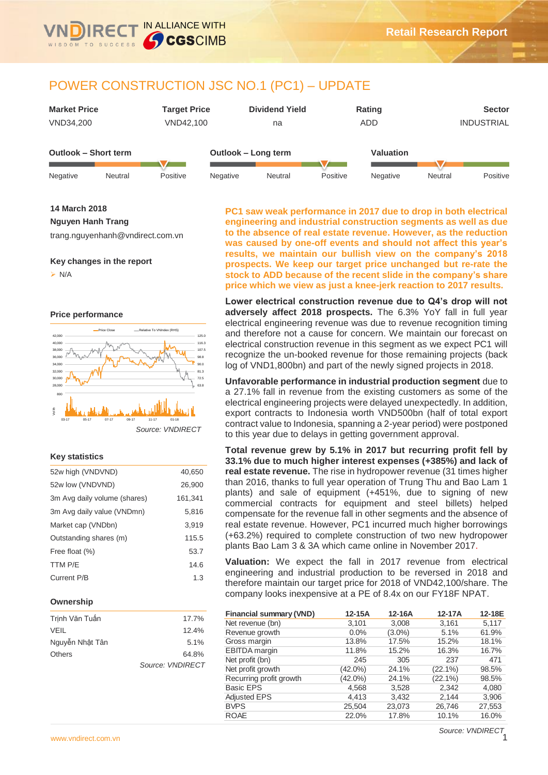

IN ALLIANCE WITH

**CGSCIMB** 



**14 March 2018**

**Nguyen Hanh Trang**

trang.nguyenhanh@vndirect.com.vn

#### **Key changes in the report**

 $> N/A$ 

**Price performance**



## **Key statistics**

| 52w high (VNDVND)            | 40,650  |
|------------------------------|---------|
| 52w low (VNDVND)             | 26,900  |
| 3m Avg daily volume (shares) | 161,341 |
| 3m Avg daily value (VNDmn)   | 5.816   |
| Market cap (VNDbn)           | 3.919   |
| Outstanding shares (m)       | 115.5   |
| Free float (%)               | 53.7    |
| TTM P/E                      | 14.6    |
| Current P/B                  | 1.3     |
|                              |         |

#### **Ownership**

| Trinh Văn Tuấn  | 17.7%            |
|-----------------|------------------|
| <b>VEIL</b>     | 12.4%            |
| Nguyễn Nhật Tân | 5.1%             |
| Others          | 64.8%            |
|                 | Source: VNDIRECT |

**PC1 saw weak performance in 2017 due to drop in both electrical engineering and industrial construction segments as well as due to the absence of real estate revenue. However, as the reduction was caused by one-off events and should not affect this year's results, we maintain our bullish view on the company's 2018 prospects. We keep our target price unchanged but re-rate the stock to ADD because of the recent slide in the company's share price which we view as just a knee-jerk reaction to 2017 results.**

**Lower electrical construction revenue due to Q4's drop will not adversely affect 2018 prospects.** The 6.3% YoY fall in full year electrical engineering revenue was due to revenue recognition timing and therefore not a cause for concern. We maintain our forecast on electrical construction revenue in this segment as we expect PC1 will recognize the un-booked revenue for those remaining projects (back log of VND1,800bn) and part of the newly signed projects in 2018.

**Unfavorable performance in industrial production segment** due to a 27.1% fall in revenue from the existing customers as some of the electrical engineering projects were delayed unexpectedly. In addition, export contracts to Indonesia worth VND500bn (half of total export contract value to Indonesia, spanning a 2-year period) were postponed to this year due to delays in getting government approval.

**Total revenue grew by 5.1% in 2017 but recurring profit fell by 33.1% due to much higher interest expenses (+385%) and lack of real estate revenue.** The rise in hydropower revenue (31 times higher than 2016, thanks to full year operation of Trung Thu and Bao Lam 1 plants) and sale of equipment (+451%, due to signing of new commercial contracts for equipment and steel billets) helped compensate for the revenue fall in other segments and the absence of real estate revenue. However, PC1 incurred much higher borrowings (+63.2%) required to complete construction of two new hydropower plants Bao Lam 3 & 3A which came online in November 2017.

**Valuation:** We expect the fall in 2017 revenue from electrical engineering and industrial production to be reversed in 2018 and therefore maintain our target price for 2018 of VND42,100/share. The company looks inexpensive at a PE of 8.4x on our FY18F NPAT.

| <b>Financial summary (VND)</b> | 12-15A     | 12-16A    | 12-17A     | 12-18E |
|--------------------------------|------------|-----------|------------|--------|
| Net revenue (bn)               | 3,101      | 3,008     | 3,161      | 5,117  |
| Revenue growth                 | 0.0%       | $(3.0\%)$ | 5.1%       | 61.9%  |
| Gross margin                   | 13.8%      | 17.5%     | 15.2%      | 18.1%  |
| EBITDA margin                  | 11.8%      | 15.2%     | 16.3%      | 16.7%  |
| Net profit (bn)                | 245        | 305       | 237        | 471    |
| Net profit growth              | $(42.0\%)$ | 24.1%     | $(22.1\%)$ | 98.5%  |
| Recurring profit growth        | $(42.0\%)$ | 24.1%     | $(22.1\%)$ | 98.5%  |
| <b>Basic EPS</b>               | 4,568      | 3,528     | 2,342      | 4,080  |
| <b>Adjusted EPS</b>            | 4,413      | 3,432     | 2.144      | 3,906  |
| <b>BVPS</b>                    | 25,504     | 23,073    | 26,746     | 27,553 |
| <b>ROAE</b>                    | 22.0%      | 17.8%     | 10.1%      | 16.0%  |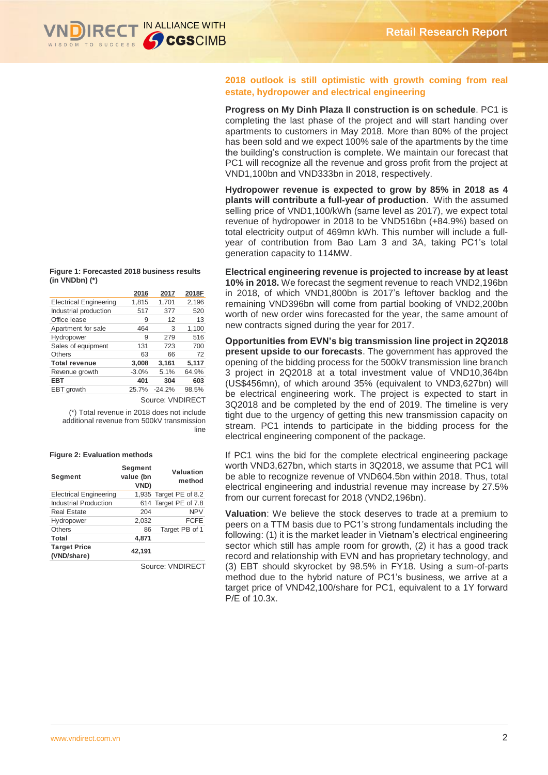

**2018 outlook is still optimistic with growth coming from real estate, hydropower and electrical engineering**

**Progress on My Dinh Plaza II construction is on schedule**. PC1 is completing the last phase of the project and will start handing over apartments to customers in May 2018. More than 80% of the project has been sold and we expect 100% sale of the apartments by the time the building's construction is complete. We maintain our forecast that PC1 will recognize all the revenue and gross profit from the project at VND1,100bn and VND333bn in 2018, respectively.

**Hydropower revenue is expected to grow by 85% in 2018 as 4 plants will contribute a full-year of production**. With the assumed selling price of VND1,100/kWh (same level as 2017), we expect total revenue of hydropower in 2018 to be VND516bn (+84.9%) based on total electricity output of 469mn kWh. This number will include a fullyear of contribution from Bao Lam 3 and 3A, taking PC1's total generation capacity to 114MW.

**Electrical engineering revenue is projected to increase by at least 10% in 2018.** We forecast the segment revenue to reach VND2,196bn in 2018, of which VND1,800bn is 2017's leftover backlog and the remaining VND396bn will come from partial booking of VND2,200bn worth of new order wins forecasted for the year, the same amount of new contracts signed during the year for 2017.

**Opportunities from EVN's big transmission line project in 2Q2018 present upside to our forecasts**. The government has approved the opening of the bidding process for the 500kV transmission line branch 3 project in 2Q2018 at a total investment value of VND10,364bn (US\$456mn), of which around 35% (equivalent to VND3,627bn) will be electrical engineering work. The project is expected to start in 3Q2018 and be completed by the end of 2019. The timeline is very tight due to the urgency of getting this new transmission capacity on stream. PC1 intends to participate in the bidding process for the electrical engineering component of the package.

If PC1 wins the bid for the complete electrical engineering package worth VND3,627bn, which starts in 3Q2018, we assume that PC1 will be able to recognize revenue of VND604.5bn within 2018. Thus, total electrical engineering and industrial revenue may increase by 27.5% from our current forecast for 2018 (VND2,196bn).

**Valuation**: We believe the stock deserves to trade at a premium to peers on a TTM basis due to PC1's strong fundamentals including the following: (1) it is the market leader in Vietnam's electrical engineering sector which still has ample room for growth, (2) it has a good track record and relationship with EVN and has proprietary technology, and (3) EBT should skyrocket by 98.5% in FY18. Using a sum-of-parts method due to the hybrid nature of PC1's business, we arrive at a target price of VND42,100/share for PC1, equivalent to a 1Y forward P/E of 10.3x.

**Figure 1: Forecasted 2018 business results (in VNDbn) (\*)** 

|                               | 2016    | 2017     | 2018F |
|-------------------------------|---------|----------|-------|
| <b>Electrical Engineering</b> | 1,815   | 1,701    | 2,196 |
| Industrial production         | 517     | 377      | 520   |
| Office lease                  | 9       | 12       | 13    |
| Apartment for sale            | 464     | 3        | 1,100 |
| Hydropower                    | 9       | 279      | 516   |
| Sales of equipment            | 131     | 723      | 700   |
| Others                        | 63      | 66       | 72    |
| <b>Total revenue</b>          | 3,008   | 3,161    | 5,117 |
| Revenue growth                | $-3.0%$ | 5.1%     | 64.9% |
| EBT                           | 401     | 304      | 603   |
| EBT growth                    | 25.7%   | $-24.2%$ | 98.5% |
|                               |         |          |       |

Source: VNDIRECT

(\*) Total revenue in 2018 does not include additional revenue from 500kV transmission line

#### **Figure 2: Evaluation methods**

| Segment                            | Segment<br>value (bn<br><b>VND)</b> | Valuation<br>method    |
|------------------------------------|-------------------------------------|------------------------|
| <b>Electrical Engineering</b>      |                                     | 1,935 Target PE of 8.2 |
| <b>Industrial Production</b>       |                                     | 614 Target PE of 7.8   |
| <b>Real Estate</b>                 | 204                                 | <b>NPV</b>             |
| Hydropower                         | 2,032                               | <b>FCFE</b>            |
| <b>Others</b>                      | 86                                  | Target PB of 1         |
| Total                              | 4,871                               |                        |
| <b>Target Price</b><br>(VND/share) | 42,191                              |                        |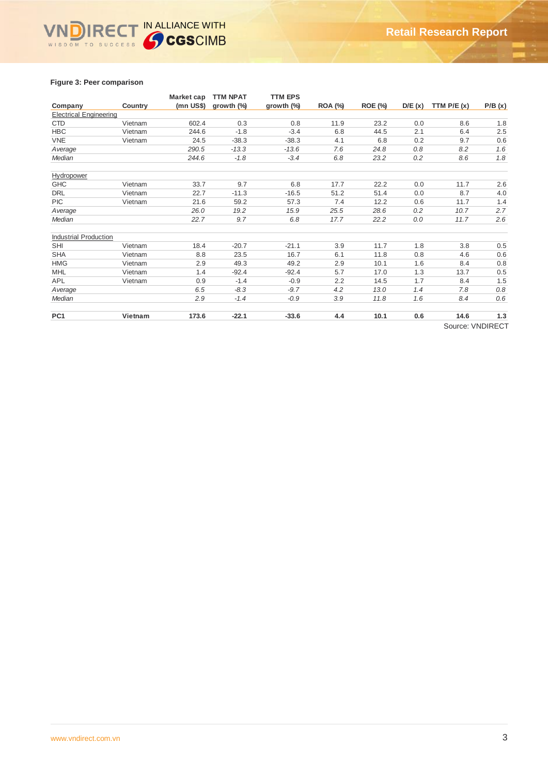# IN ALLIANCE WITH  $\overline{\mathsf{v}}$ WISDOM TO SUCCESS

## **Figure 3: Peer comparison**

|                               |         | Market cap | <b>TTM NPAT</b> | <b>TTM EPS</b> |                |                |        |              |         |
|-------------------------------|---------|------------|-----------------|----------------|----------------|----------------|--------|--------------|---------|
| Company                       | Country | (mn US\$)  | growth $(\%)$   | growth $(\%)$  | <b>ROA (%)</b> | <b>ROE (%)</b> | D/E(x) | TTM $P/E(x)$ | P/B(x)  |
| <b>Electrical Engineering</b> |         |            |                 |                |                |                |        |              |         |
| <b>CTD</b>                    | Vietnam | 602.4      | 0.3             | 0.8            | 11.9           | 23.2           | 0.0    | 8.6          | 1.8     |
| <b>HBC</b>                    | Vietnam | 244.6      | $-1.8$          | $-3.4$         | 6.8            | 44.5           | 2.1    | 6.4          | 2.5     |
| <b>VNE</b>                    | Vietnam | 24.5       | $-38.3$         | $-38.3$        | 4.1            | 6.8            | 0.2    | 9.7          | 0.6     |
| Average                       |         | 290.5      | $-13.3$         | $-13.6$        | 7.6            | 24.8           | 0.8    | 8.2          | 1.6     |
| Median                        |         | 244.6      | $-1.8$          | $-3.4$         | 6.8            | 23.2           | 0.2    | 8.6          | 1.8     |
| Hydropower                    |         |            |                 |                |                |                |        |              |         |
| <b>GHC</b>                    | Vietnam | 33.7       | 9.7             | 6.8            | 17.7           | 22.2           | 0.0    | 11.7         | 2.6     |
| <b>DRL</b>                    | Vietnam | 22.7       | $-11.3$         | $-16.5$        | 51.2           | 51.4           | 0.0    | 8.7          | 4.0     |
| <b>PIC</b>                    | Vietnam | 21.6       | 59.2            | 57.3           | 7.4            | 12.2           | 0.6    | 11.7         | 1.4     |
| Average                       |         | 26.0       | 19.2            | 15.9           | 25.5           | 28.6           | 0.2    | 10.7         | 2.7     |
| Median                        |         | 22.7       | 9.7             | 6.8            | 17.7           | 22.2           | 0.0    | 11.7         | 2.6     |
| <b>Industrial Production</b>  |         |            |                 |                |                |                |        |              |         |
| <b>SHI</b>                    | Vietnam | 18.4       | $-20.7$         | $-21.1$        | 3.9            | 11.7           | 1.8    | 3.8          | 0.5     |
| <b>SHA</b>                    | Vietnam | 8.8        | 23.5            | 16.7           | 6.1            | 11.8           | 0.8    | 4.6          | 0.6     |
| <b>HMG</b>                    | Vietnam | 2.9        | 49.3            | 49.2           | 2.9            | 10.1           | 1.6    | 8.4          | 0.8     |
| <b>MHL</b>                    | Vietnam | 1.4        | $-92.4$         | $-92.4$        | 5.7            | 17.0           | 1.3    | 13.7         | 0.5     |
| APL                           | Vietnam | 0.9        | $-1.4$          | $-0.9$         | 2.2            | 14.5           | 1.7    | 8.4          | 1.5     |
| Average                       |         | 6.5        | $-8.3$          | $-9.7$         | 4.2            | 13.0           | 1.4    | 7.8          | $0.8\,$ |
| Median                        |         | 2.9        | $-1.4$          | $-0.9$         | 3.9            | 11.8           | 1.6    | 8.4          | 0.6     |
| PC <sub>1</sub>               | Vietnam | 173.6      | $-22.1$         | $-33.6$        | 4.4            | 10.1           | 0.6    | 14.6         | $1.3$   |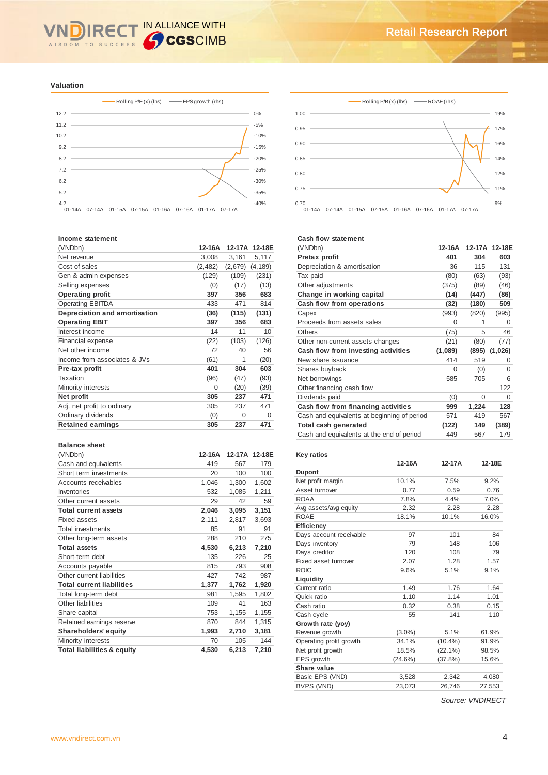## IN ALLIANCE WITH **IRE** WISDOM TO SUCCESS

#### **Valuation**





#### **Income statement**

| (VNDbn)                       | 12-16A   | 12-17A  | 12-18E   |
|-------------------------------|----------|---------|----------|
| Net revenue                   | 3,008    | 3,161   | 5,117    |
| Cost of sales                 | (2, 482) | (2,679) | (4, 189) |
| Gen & admin expenses          | (129)    | (109)   | (231)    |
| Selling expenses              | (0)      | (17)    | (13)     |
| <b>Operating profit</b>       | 397      | 356     | 683      |
| <b>Operating EBITDA</b>       | 433      | 471     | 814      |
| Depreciation and amortisation | (36)     | (115)   | (131)    |
| <b>Operating EBIT</b>         | 397      | 356     | 683      |
| Interest income               | 14       | 11      | 10       |
| Financial expense             | (22)     | (103)   | (126)    |
| Net other income              | 72       | 40      | 56       |
| Income from associates & JVs  | (61)     | 1       | (20)     |
| Pre-tax profit                | 401      | 304     | 603      |
| Taxation                      | (96)     | (47)    | (93)     |
| Minority interests            | 0        | (20)    | (39)     |
| Net profit                    | 305      | 237     | 471      |
| Adj. net profit to ordinary   | 305      | 237     | 471      |
| Ordinary dividends            | (0)      | 0       | 0        |
| <b>Retained earnings</b>      | 305      | 237     | 471      |
|                               |          |         |          |

#### **Balance sheet**

| (VNDbn)                               | 12-16A | 12-17A | 12-18E |
|---------------------------------------|--------|--------|--------|
| Cash and equivalents                  | 419    | 567    | 179    |
| Short term investments                | 20     | 100    | 100    |
| Accounts receivables                  | 1,046  | 1,300  | 1,602  |
| Inventories                           | 532    | 1,085  | 1,211  |
| Other current assets                  | 29     | 42     | 59     |
| <b>Total current assets</b>           | 2,046  | 3,095  | 3,151  |
| Fixed assets                          | 2,111  | 2,817  | 3,693  |
| <b>Total investments</b>              | 85     | 91     | 91     |
| Other long-term assets                | 288    | 210    | 275    |
| <b>Total assets</b>                   | 4,530  | 6,213  | 7,210  |
| Short-term debt                       | 135    | 226    | 25     |
| Accounts payable                      | 815    | 793    | 908    |
| Other current liabilities             | 427    | 742    | 987    |
| <b>Total current liabilities</b>      | 1,377  | 1,762  | 1,920  |
| Total long-term debt                  | 981    | 1,595  | 1,802  |
| Other liabilities                     | 109    | 41     | 163    |
| Share capital                         | 753    | 1,155  | 1,155  |
| Retained earnings reserve             | 870    | 844    | 1,315  |
| <b>Shareholders' equity</b>           | 1,993  | 2,710  | 3,181  |
| Minority interests                    | 70     | 105    | 144    |
| <b>Total liabilities &amp; equity</b> | 4,530  | 6,213  | 7,210  |

## **Cash flow statement**

| 12-16A  |       | 12-17A 12-18E |
|---------|-------|---------------|
| 401     | 304   | 603           |
| 36      | 115   | 131           |
| (80)    | (63)  | (93)          |
| (375)   | (89)  | (46)          |
| (14)    | (447) | (86)          |
| (32)    | (180) | 509           |
| (993)   | (820) | (995)         |
| 0       | 1     | 0             |
| (75)    | 5     | 46            |
| (21)    | (80)  | (77)          |
| (1,089) | (895) | (1,026)       |
| 414     | 519   | 0             |
| 0       | (0)   | $\Omega$      |
| 585     | 705   | 6             |
|         |       | 122           |
| (0)     | 0     | $\Omega$      |
| 999     | 1,224 | 128           |
| 571     | 419   | 567           |
| (122)   | 149   | (389)         |
| 449     | 567   | 179           |
|         |       |               |

#### **Key ratios**

|                         | 12-16A     | 12-17A     | 12-18E |
|-------------------------|------------|------------|--------|
| <b>Dupont</b>           |            |            |        |
| Net profit margin       | 10.1%      | 7.5%       | 9.2%   |
| Asset turnover          | 0.77       | 0.59       | 0.76   |
| <b>ROAA</b>             | 7.8%       | 4.4%       | 7.0%   |
| Avg assets/avg equity   | 2.32       | 2.28       | 2.28   |
| <b>ROAE</b>             | 18.1%      | 10.1%      | 16.0%  |
| Efficiency              |            |            |        |
| Days account receivable | 97         | 101        | 84     |
| Days inventory          | 79         | 148        | 106    |
| Days creditor           | 120        | 108        | 79     |
| Fixed asset turnover    | 2.07       | 1.28       | 1.57   |
| <b>ROIC</b>             | 9.6%       | 5.1%       | 9.1%   |
| Liquidity               |            |            |        |
| Current ratio           | 1.49       | 1.76       | 1.64   |
| Quick ratio             | 1.10       | 1.14       | 1.01   |
| Cash ratio              | 0.32       | 0.38       | 0.15   |
| Cash cycle              | 55         | 141        | 110    |
| Growth rate (yoy)       |            |            |        |
| Revenue growth          | $(3.0\%)$  | 5.1%       | 61.9%  |
| Operating profit growth | 34.1%      | $(10.4\%)$ | 91.9%  |
| Net profit growth       | 18.5%      | $(22.1\%)$ | 98.5%  |
| EPS growth              | $(24.6\%)$ | $(37.8\%)$ | 15.6%  |
| Share value             |            |            |        |
| Basic EPS (VND)         | 3,528      | 2,342      | 4,080  |
| BVPS (VND)              | 23.073     | 26.746     | 27,553 |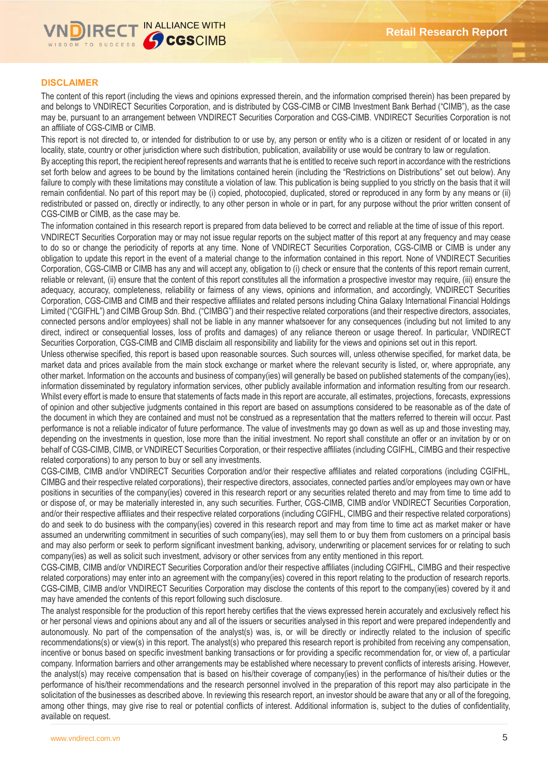

## **DISCLAIMER**

The content of this report (including the views and opinions expressed therein, and the information comprised therein) has been prepared by and belongs to VNDIRECT Securities Corporation, and is distributed by CGS-CIMB or CIMB Investment Bank Berhad ("CIMB"), as the case may be, pursuant to an arrangement between VNDIRECT Securities Corporation and CGS-CIMB. VNDIRECT Securities Corporation is not an affiliate of CGS-CIMB or CIMB.

This report is not directed to, or intended for distribution to or use by, any person or entity who is a citizen or resident of or located in any locality, state, country or other jurisdiction where such distribution, publication, availability or use would be contrary to law or regulation.

By accepting this report, the recipient hereof represents and warrants that he is entitled to receive such report in accordance with the restrictions set forth below and agrees to be bound by the limitations contained herein (including the "Restrictions on Distributions" set out below). Any failure to comply with these limitations may constitute a violation of law. This publication is being supplied to you strictly on the basis that it will remain confidential. No part of this report may be (i) copied, photocopied, duplicated, stored or reproduced in any form by any means or (ii) redistributed or passed on, directly or indirectly, to any other person in whole or in part, for any purpose without the prior written consent of CGS-CIMB or CIMB, as the case may be.

The information contained in this research report is prepared from data believed to be correct and reliable at the time of issue of this report. VNDIRECT Securities Corporation may or may not issue regular reports on the subject matter of this report at any frequency and may cease to do so or change the periodicity of reports at any time. None of VNDIRECT Securities Corporation, CGS-CIMB or CIMB is under any obligation to update this report in the event of a material change to the information contained in this report. None of VNDIRECT Securities Corporation, CGS-CIMB or CIMB has any and will accept any, obligation to (i) check or ensure that the contents of this report remain current, reliable or relevant, (ii) ensure that the content of this report constitutes all the information a prospective investor may require, (iii) ensure the adequacy, accuracy, completeness, reliability or fairness of any views, opinions and information, and accordingly, VNDIRECT Securities Corporation, CGS-CIMB and CIMB and their respective affiliates and related persons including China Galaxy International Financial Holdings Limited ("CGIFHL") and CIMB Group Sdn. Bhd. ("CIMBG") and their respective related corporations (and their respective directors, associates, connected persons and/or employees) shall not be liable in any manner whatsoever for any consequences (including but not limited to any direct, indirect or consequential losses, loss of profits and damages) of any reliance thereon or usage thereof. In particular, VNDIRECT Securities Corporation, CGS-CIMB and CIMB disclaim all responsibility and liability for the views and opinions set out in this report.

Unless otherwise specified, this report is based upon reasonable sources. Such sources will, unless otherwise specified, for market data, be market data and prices available from the main stock exchange or market where the relevant security is listed, or, where appropriate, any other market. Information on the accounts and business of company(ies) will generally be based on published statements of the company(ies), information disseminated by regulatory information services, other publicly available information and information resulting from our research. Whilst every effort is made to ensure that statements of facts made in this report are accurate, all estimates, projections, forecasts, expressions of opinion and other subjective judgments contained in this report are based on assumptions considered to be reasonable as of the date of the document in which they are contained and must not be construed as a representation that the matters referred to therein will occur. Past performance is not a reliable indicator of future performance. The value of investments may go down as well as up and those investing may, depending on the investments in question, lose more than the initial investment. No report shall constitute an offer or an invitation by or on behalf of CGS-CIMB, CIMB, or VNDIRECT Securities Corporation, or their respective affiliates (including CGIFHL, CIMBG and their respective related corporations) to any person to buy or sell any investments.

CGS-CIMB, CIMB and/or VNDIRECT Securities Corporation and/or their respective affiliates and related corporations (including CGIFHL, CIMBG and their respective related corporations), their respective directors, associates, connected parties and/or employees may own or have positions in securities of the company(ies) covered in this research report or any securities related thereto and may from time to time add to or dispose of, or may be materially interested in, any such securities. Further, CGS-CIMB, CIMB and/or VNDIRECT Securities Corporation, and/or their respective affiliates and their respective related corporations (including CGIFHL, CIMBG and their respective related corporations) do and seek to do business with the company(ies) covered in this research report and may from time to time act as market maker or have assumed an underwriting commitment in securities of such company(ies), may sell them to or buy them from customers on a principal basis and may also perform or seek to perform significant investment banking, advisory, underwriting or placement services for or relating to such company(ies) as well as solicit such investment, advisory or other services from any entity mentioned in this report.

CGS-CIMB, CIMB and/or VNDIRECT Securities Corporation and/or their respective affiliates (including CGIFHL, CIMBG and their respective related corporations) may enter into an agreement with the company(ies) covered in this report relating to the production of research reports. CGS-CIMB, CIMB and/or VNDIRECT Securities Corporation may disclose the contents of this report to the company(ies) covered by it and may have amended the contents of this report following such disclosure.

The analyst responsible for the production of this report hereby certifies that the views expressed herein accurately and exclusively reflect his or her personal views and opinions about any and all of the issuers or securities analysed in this report and were prepared independently and autonomously. No part of the compensation of the analyst(s) was, is, or will be directly or indirectly related to the inclusion of specific recommendations(s) or view(s) in this report. The analyst(s) who prepared this research report is prohibited from receiving any compensation, incentive or bonus based on specific investment banking transactions or for providing a specific recommendation for, or view of, a particular company. Information barriers and other arrangements may be established where necessary to prevent conflicts of interests arising. However, the analyst(s) may receive compensation that is based on his/their coverage of company(ies) in the performance of his/their duties or the performance of his/their recommendations and the research personnel involved in the preparation of this report may also participate in the solicitation of the businesses as described above. In reviewing this research report, an investor should be aware that any or all of the foregoing, among other things, may give rise to real or potential conflicts of interest. Additional information is, subject to the duties of confidentiality, available on request.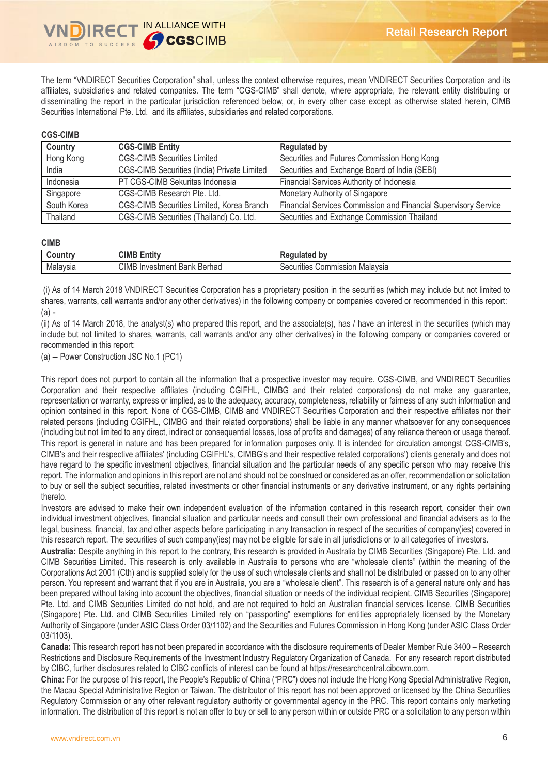The term "VNDIRECT Securities Corporation" shall, unless the context otherwise requires, mean VNDIRECT Securities Corporation and its affiliates, subsidiaries and related companies. The term "CGS-CIMB" shall denote, where appropriate, the relevant entity distributing or disseminating the report in the particular jurisdiction referenced below, or, in every other case except as otherwise stated herein, CIMB Securities International Pte. Ltd. and its affiliates, subsidiaries and related corporations.

## **CGS-CIMB**

| Country     | <b>CGS-CIMB Entity</b>                      | <b>Regulated by</b>                                             |
|-------------|---------------------------------------------|-----------------------------------------------------------------|
| Hong Kong   | <b>CGS-CIMB Securities Limited</b>          | Securities and Futures Commission Hong Kong                     |
| India       | CGS-CIMB Securities (India) Private Limited | Securities and Exchange Board of India (SEBI)                   |
| Indonesia   | PT CGS-CIMB Sekuritas Indonesia             | Financial Services Authority of Indonesia                       |
| Singapore   | CGS-CIMB Research Pte. Ltd.                 | Monetary Authority of Singapore                                 |
| South Korea | CGS-CIMB Securities Limited, Korea Branch   | Financial Services Commission and Financial Supervisory Service |
| Thailand    | CGS-CIMB Securities (Thailand) Co. Ltd.     | Securities and Exchange Commission Thailand                     |

## **CIMB**

| <b>ountr</b> | CIME<br>$\overline{1}$<br>-<br><b>Entit</b>     | . .<br>b١<br><br>™ulaleu             |
|--------------|-------------------------------------------------|--------------------------------------|
| Malavsia     | CIMB<br>Berhad<br>alvestm<br>Bank<br>ner<br>-11 | Malavsia<br>Securities<br>Commission |

(i) As of 14 March 2018 VNDIRECT Securities Corporation has a proprietary position in the securities (which may include but not limited to shares, warrants, call warrants and/or any other derivatives) in the following company or companies covered or recommended in this report:  $(a) -$ 

(ii) As of 14 March 2018, the analyst(s) who prepared this report, and the associate(s), has / have an interest in the securities (which may include but not limited to shares, warrants, call warrants and/or any other derivatives) in the following company or companies covered or recommended in this report:

(a) – Power Construction JSC No.1 (PC1)

This report does not purport to contain all the information that a prospective investor may require. CGS-CIMB, and VNDIRECT Securities Corporation and their respective affiliates (including CGIFHL, CIMBG and their related corporations) do not make any guarantee, representation or warranty, express or implied, as to the adequacy, accuracy, completeness, reliability or fairness of any such information and opinion contained in this report. None of CGS-CIMB, CIMB and VNDIRECT Securities Corporation and their respective affiliates nor their related persons (including CGIFHL, CIMBG and their related corporations) shall be liable in any manner whatsoever for any consequences (including but not limited to any direct, indirect or consequential losses, loss of profits and damages) of any reliance thereon or usage thereof. This report is general in nature and has been prepared for information purposes only. It is intended for circulation amongst CGS-CIMB's, CIMB's and their respective affiliates' (including CGIFHL's, CIMBG's and their respective related corporations') clients generally and does not have regard to the specific investment objectives, financial situation and the particular needs of any specific person who may receive this report. The information and opinions in this report are not and should not be construed or considered as an offer, recommendation or solicitation to buy or sell the subject securities, related investments or other financial instruments or any derivative instrument, or any rights pertaining thereto.

Investors are advised to make their own independent evaluation of the information contained in this research report, consider their own individual investment objectives, financial situation and particular needs and consult their own professional and financial advisers as to the legal, business, financial, tax and other aspects before participating in any transaction in respect of the securities of company(ies) covered in this research report. The securities of such company(ies) may not be eligible for sale in all jurisdictions or to all categories of investors.

**Australia:** Despite anything in this report to the contrary, this research is provided in Australia by CIMB Securities (Singapore) Pte. Ltd. and CIMB Securities Limited. This research is only available in Australia to persons who are "wholesale clients" (within the meaning of the Corporations Act 2001 (Cth) and is supplied solely for the use of such wholesale clients and shall not be distributed or passed on to any other person. You represent and warrant that if you are in Australia, you are a "wholesale client". This research is of a general nature only and has been prepared without taking into account the objectives, financial situation or needs of the individual recipient. CIMB Securities (Singapore) Pte. Ltd. and CIMB Securities Limited do not hold, and are not required to hold an Australian financial services license. CIMB Securities (Singapore) Pte. Ltd. and CIMB Securities Limited rely on "passporting" exemptions for entities appropriately licensed by the Monetary Authority of Singapore (under ASIC Class Order 03/1102) and the Securities and Futures Commission in Hong Kong (under ASIC Class Order 03/1103).

**Canada:** This research report has not been prepared in accordance with the disclosure requirements of Dealer Member Rule 3400 – Research Restrictions and Disclosure Requirements of the Investment Industry Regulatory Organization of Canada. For any research report distributed by CIBC, further disclosures related to CIBC conflicts of interest can be found at https://researchcentral.cibcwm.com.

**China:** For the purpose of this report, the People's Republic of China ("PRC") does not include the Hong Kong Special Administrative Region, the Macau Special Administrative Region or Taiwan. The distributor of this report has not been approved or licensed by the China Securities Regulatory Commission or any other relevant regulatory authority or governmental agency in the PRC. This report contains only marketing information. The distribution of this report is not an offer to buy or sell to any person within or outside PRC or a solicitation to any person within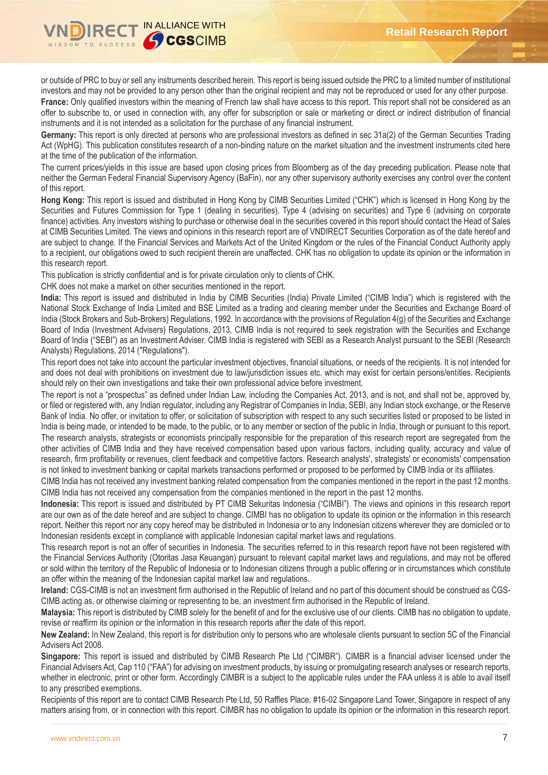

or outside of PRC to buy or sell any instruments described herein. This report is being issued outside the PRC to a limited number of institutional investors and may not be provided to any person other than the original recipient and may not be reproduced or used for any other purpose. France: Only qualified investors within the meaning of French law shall have access to this report. This report shall not be considered as an offer to subscribe to, or used in connection with, any offer for subscription or sale or marketing or direct or indirect distribution of financial instruments and it is not intended as a solicitation for the purchase of any financial instrument.

**Germany:** This report is only directed at persons who are professional investors as defined in sec 31a(2) of the German Securities Trading Act (WpHG). This publication constitutes research of a non-binding nature on the market situation and the investment instruments cited here at the time of the publication of the information.

The current prices/yields in this issue are based upon closing prices from Bloomberg as of the day preceding publication. Please note that neither the German Federal Financial Supervisory Agency (BaFin), nor any other supervisory authority exercises any control over the content of this report.

**Hong Kong:** This report is issued and distributed in Hong Kong by CIMB Securities Limited ("CHK") which is licensed in Hong Kong by the Securities and Futures Commission for Type 1 (dealing in securities), Type 4 (advising on securities) and Type 6 (advising on corporate finance) activities. Any investors wishing to purchase or otherwise deal in the securities covered in this report should contact the Head of Sales at CIMB Securities Limited. The views and opinions in this research report are of VNDIRECT Securities Corporation as of the date hereof and are subject to change. If the Financial Services and Markets Act of the United Kingdom or the rules of the Financial Conduct Authority apply to a recipient, our obligations owed to such recipient therein are unaffected. CHK has no obligation to update its opinion or the information in this research report.

This publication is strictly confidential and is for private circulation only to clients of CHK.

CHK does not make a market on other securities mentioned in the report.

**India:** This report is issued and distributed in India by CIMB Securities (India) Private Limited ("CIMB India") which is registered with the National Stock Exchange of India Limited and BSE Limited as a trading and clearing member under the Securities and Exchange Board of India (Stock Brokers and Sub-Brokers) Regulations, 1992. In accordance with the provisions of Regulation 4(g) of the Securities and Exchange Board of India (Investment Advisers) Regulations, 2013, CIMB India is not required to seek registration with the Securities and Exchange Board of India ("SEBI") as an Investment Adviser. CIMB India is registered with SEBI as a Research Analyst pursuant to the SEBI (Research Analysts) Regulations, 2014 ("Regulations").

This report does not take into account the particular investment objectives, financial situations, or needs of the recipients. It is not intended for and does not deal with prohibitions on investment due to law/jurisdiction issues etc. which may exist for certain persons/entities. Recipients should rely on their own investigations and take their own professional advice before investment.

The report is not a "prospectus" as defined under Indian Law, including the Companies Act, 2013, and is not, and shall not be, approved by, or filed or registered with, any Indian regulator, including any Registrar of Companies in India, SEBI, any Indian stock exchange, or the Reserve Bank of India. No offer, or invitation to offer, or solicitation of subscription with respect to any such securities listed or proposed to be listed in India is being made, or intended to be made, to the public, or to any member or section of the public in India, through or pursuant to this report. The research analysts, strategists or economists principally responsible for the preparation of this research report are segregated from the other activities of CIMB India and they have received compensation based upon various factors, including quality, accuracy and value of research, firm profitability or revenues, client feedback and competitive factors. Research analysts', strategists' or economists' compensation is not linked to investment banking or capital markets transactions performed or proposed to be performed by CIMB India or its affiliates.

CIMB India has not received any investment banking related compensation from the companies mentioned in the report in the past 12 months. CIMB India has not received any compensation from the companies mentioned in the report in the past 12 months.

**Indonesia:** This report is issued and distributed by PT CIMB Sekuritas Indonesia ("CIMBI"). The views and opinions in this research report are our own as of the date hereof and are subject to change. CIMBI has no obligation to update its opinion or the information in this research report. Neither this report nor any copy hereof may be distributed in Indonesia or to any Indonesian citizens wherever they are domiciled or to Indonesian residents except in compliance with applicable Indonesian capital market laws and regulations.

This research report is not an offer of securities in Indonesia. The securities referred to in this research report have not been registered with the Financial Services Authority (Otoritas Jasa Keuangan) pursuant to relevant capital market laws and regulations, and may not be offered or sold within the territory of the Republic of Indonesia or to Indonesian citizens through a public offering or in circumstances which constitute an offer within the meaning of the Indonesian capital market law and regulations.

**Ireland:** CGS-CIMB is not an investment firm authorised in the Republic of Ireland and no part of this document should be construed as CGS-CIMB acting as, or otherwise claiming or representing to be, an investment firm authorised in the Republic of Ireland.

**Malaysia:** This report is distributed by CIMB solely for the benefit of and for the exclusive use of our clients. CIMB has no obligation to update, revise or reaffirm its opinion or the information in this research reports after the date of this report.

**New Zealand:** In New Zealand, this report is for distribution only to persons who are wholesale clients pursuant to section 5C of the Financial Advisers Act 2008.

**Singapore:** This report is issued and distributed by CIMB Research Pte Ltd ("CIMBR"). CIMBR is a financial adviser licensed under the Financial Advisers Act, Cap 110 ("FAA") for advising on investment products, by issuing or promulgating research analyses or research reports, whether in electronic, print or other form. Accordingly CIMBR is a subject to the applicable rules under the FAA unless it is able to avail itself to any prescribed exemptions.

Recipients of this report are to contact CIMB Research Pte Ltd, 50 Raffles Place, #16-02 Singapore Land Tower, Singapore in respect of any matters arising from, or in connection with this report. CIMBR has no obligation to update its opinion or the information in this research report.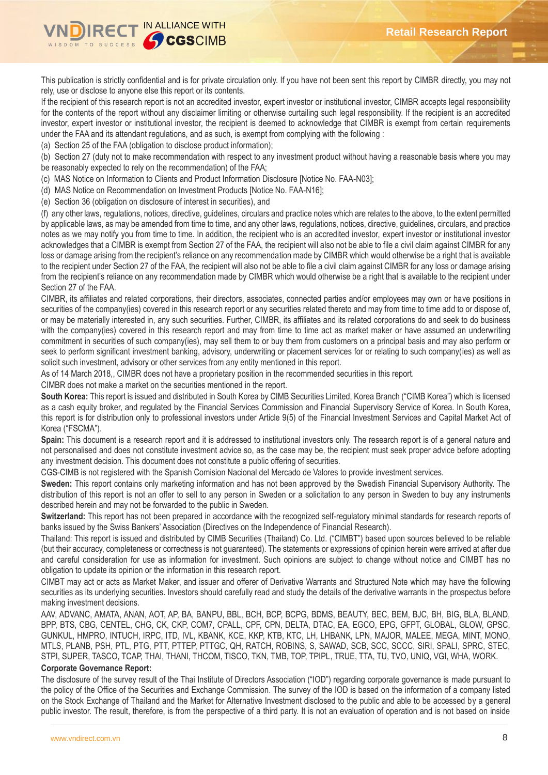

This publication is strictly confidential and is for private circulation only. If you have not been sent this report by CIMBR directly, you may not rely, use or disclose to anyone else this report or its contents.

If the recipient of this research report is not an accredited investor, expert investor or institutional investor, CIMBR accepts legal responsibility for the contents of the report without any disclaimer limiting or otherwise curtailing such legal responsibility. If the recipient is an accredited investor, expert investor or institutional investor, the recipient is deemed to acknowledge that CIMBR is exempt from certain requirements under the FAA and its attendant regulations, and as such, is exempt from complying with the following :

(a) Section 25 of the FAA (obligation to disclose product information);

(b) Section 27 (duty not to make recommendation with respect to any investment product without having a reasonable basis where you may be reasonably expected to rely on the recommendation) of the FAA;

(c) MAS Notice on Information to Clients and Product Information Disclosure [Notice No. FAA-N03];

(d) MAS Notice on Recommendation on Investment Products [Notice No. FAA-N16];

(e) Section 36 (obligation on disclosure of interest in securities), and

(f) any other laws, regulations, notices, directive, guidelines, circulars and practice notes which are relates to the above, to the extent permitted by applicable laws, as may be amended from time to time, and any other laws, regulations, notices, directive, guidelines, circulars, and practice notes as we may notify you from time to time. In addition, the recipient who is an accredited investor, expert investor or institutional investor acknowledges that a CIMBR is exempt from Section 27 of the FAA, the recipient will also not be able to file a civil claim against CIMBR for any loss or damage arising from the recipient's reliance on any recommendation made by CIMBR which would otherwise be a right that is available to the recipient under Section 27 of the FAA, the recipient will also not be able to file a civil claim against CIMBR for any loss or damage arising from the recipient's reliance on any recommendation made by CIMBR which would otherwise be a right that is available to the recipient under Section 27 of the FAA.

CIMBR, its affiliates and related corporations, their directors, associates, connected parties and/or employees may own or have positions in securities of the company(ies) covered in this research report or any securities related thereto and may from time to time add to or dispose of, or may be materially interested in, any such securities. Further, CIMBR, its affiliates and its related corporations do and seek to do business with the company(ies) covered in this research report and may from time to time act as market maker or have assumed an underwriting commitment in securities of such company(ies), may sell them to or buy them from customers on a principal basis and may also perform or seek to perform significant investment banking, advisory, underwriting or placement services for or relating to such company(ies) as well as solicit such investment, advisory or other services from any entity mentioned in this report.

As of 14 March 2018,, CIMBR does not have a proprietary position in the recommended securities in this report.

CIMBR does not make a market on the securities mentioned in the report.

**South Korea:** This report is issued and distributed in South Korea by CIMB Securities Limited, Korea Branch ("CIMB Korea") which is licensed as a cash equity broker, and regulated by the Financial Services Commission and Financial Supervisory Service of Korea. In South Korea, this report is for distribution only to professional investors under Article 9(5) of the Financial Investment Services and Capital Market Act of Korea ("FSCMA").

**Spain:** This document is a research report and it is addressed to institutional investors only. The research report is of a general nature and not personalised and does not constitute investment advice so, as the case may be, the recipient must seek proper advice before adopting any investment decision. This document does not constitute a public offering of securities.

CGS-CIMB is not registered with the Spanish Comision Nacional del Mercado de Valores to provide investment services.

**Sweden:** This report contains only marketing information and has not been approved by the Swedish Financial Supervisory Authority. The distribution of this report is not an offer to sell to any person in Sweden or a solicitation to any person in Sweden to buy any instruments described herein and may not be forwarded to the public in Sweden.

**Switzerland:** This report has not been prepared in accordance with the recognized self-regulatory minimal standards for research reports of banks issued by the Swiss Bankers' Association (Directives on the Independence of Financial Research).

Thailand: This report is issued and distributed by CIMB Securities (Thailand) Co. Ltd. ("CIMBT") based upon sources believed to be reliable (but their accuracy, completeness or correctness is not guaranteed). The statements or expressions of opinion herein were arrived at after due and careful consideration for use as information for investment. Such opinions are subject to change without notice and CIMBT has no obligation to update its opinion or the information in this research report.

CIMBT may act or acts as Market Maker, and issuer and offerer of Derivative Warrants and Structured Note which may have the following securities as its underlying securities. Investors should carefully read and study the details of the derivative warrants in the prospectus before making investment decisions.

AAV, ADVANC, AMATA, ANAN, AOT, AP, BA, BANPU, BBL, BCH, BCP, BCPG, BDMS, BEAUTY, BEC, BEM, BJC, BH, BIG, BLA, BLAND, BPP, BTS, CBG, CENTEL, CHG, CK, CKP, COM7, CPALL, CPF, CPN, DELTA, DTAC, EA, EGCO, EPG, GFPT, GLOBAL, GLOW, GPSC, GUNKUL, HMPRO, INTUCH, IRPC, ITD, IVL, KBANK, KCE, KKP, KTB, KTC, LH, LHBANK, LPN, MAJOR, MALEE, MEGA, MINT, MONO, MTLS, PLANB, PSH, PTL, PTG, PTT, PTTEP, PTTGC, QH, RATCH, ROBINS, S, SAWAD, SCB, SCC, SCCC, SIRI, SPALI, SPRC, STEC, STPI, SUPER, TASCO, TCAP, THAI, THANI, THCOM, TISCO, TKN, TMB, TOP, TPIPL, TRUE, TTA, TU, TVO, UNIQ, VGI, WHA, WORK.

# **Corporate Governance Report:**

The disclosure of the survey result of the Thai Institute of Directors Association ("IOD") regarding corporate governance is made pursuant to the policy of the Office of the Securities and Exchange Commission. The survey of the IOD is based on the information of a company listed on the Stock Exchange of Thailand and the Market for Alternative Investment disclosed to the public and able to be accessed by a general public investor. The result, therefore, is from the perspective of a third party. It is not an evaluation of operation and is not based on inside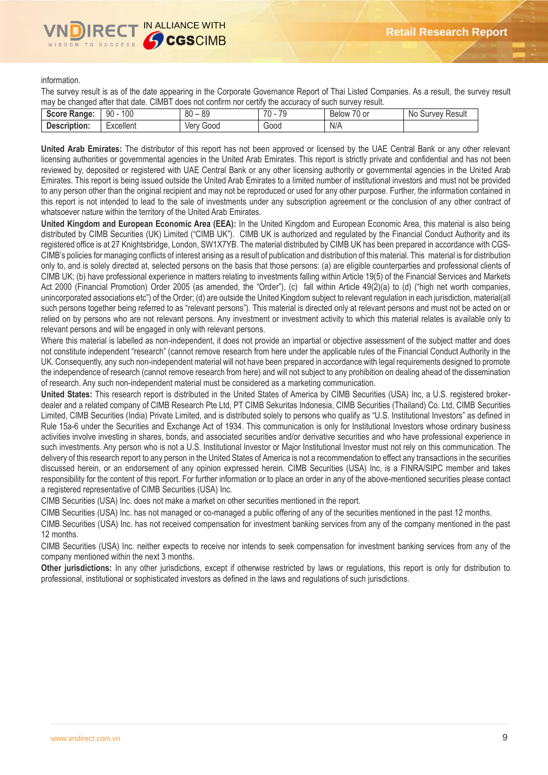

information.

The survey result is as of the date appearing in the Corporate Governance Report of Thai Listed Companies. As a result, the survey result may be changed after that date. CIMBT does not confirm nor certify the accuracy of such survey result.

| Score Ra.<br>anae: | 100<br>n۵<br>ັນບ    | 00<br>$\circ$<br>ou<br>೦೮ | 70<br>$\overline{\phantom{a}}$<br>- 14<br>u | $\overline{\phantom{0}}$<br>'U or<br><b>Below</b> | N0<br>Result<br>uvev.<br>∍uu |
|--------------------|---------------------|---------------------------|---------------------------------------------|---------------------------------------------------|------------------------------|
| Description:       | Excellent<br>$\sim$ | 000ز'<br>ver              | 000ن                                        | N/A                                               |                              |

**United Arab Emirates:** The distributor of this report has not been approved or licensed by the UAE Central Bank or any other relevant licensing authorities or governmental agencies in the United Arab Emirates. This report is strictly private and confidential and has not been reviewed by, deposited or registered with UAE Central Bank or any other licensing authority or governmental agencies in the United Arab Emirates. This report is being issued outside the United Arab Emirates to a limited number of institutional investors and must not be provided to any person other than the original recipient and may not be reproduced or used for any other purpose. Further, the information contained in this report is not intended to lead to the sale of investments under any subscription agreement or the conclusion of any other contract of whatsoever nature within the territory of the United Arab Emirates.

**United Kingdom and European Economic Area (EEA):** In the United Kingdom and European Economic Area, this material is also being distributed by CIMB Securities (UK) Limited ("CIMB UK"). CIMB UK is authorized and regulated by the Financial Conduct Authority and its registered office is at 27 Knightsbridge, London, SW1X7YB. The material distributed by CIMB UK has been prepared in accordance with CGS-CIMB's policies for managing conflicts of interest arising as a result of publication and distribution of this material. This material is for distribution only to, and is solely directed at, selected persons on the basis that those persons: (a) are eligible counterparties and professional clients of CIMB UK; (b) have professional experience in matters relating to investments falling within Article 19(5) of the Financial Services and Markets Act 2000 (Financial Promotion) Order 2005 (as amended, the "Order"), (c) fall within Article 49(2)(a) to (d) ("high net worth companies, unincorporated associations etc") of the Order; (d) are outside the United Kingdom subject to relevant regulation in each jurisdiction, material(all such persons together being referred to as "relevant persons"). This material is directed only at relevant persons and must not be acted on or relied on by persons who are not relevant persons. Any investment or investment activity to which this material relates is available only to relevant persons and will be engaged in only with relevant persons.

Where this material is labelled as non-independent, it does not provide an impartial or objective assessment of the subject matter and does not constitute independent "research" (cannot remove research from here under the applicable rules of the Financial Conduct Authority in the UK. Consequently, any such non-independent material will not have been prepared in accordance with legal requirements designed to promote the independence of research (cannot remove research from here) and will not subject to any prohibition on dealing ahead of the dissemination of research. Any such non-independent material must be considered as a marketing communication.

**United States:** This research report is distributed in the United States of America by CIMB Securities (USA) Inc, a U.S. registered brokerdealer and a related company of CIMB Research Pte Ltd, PT CIMB Sekuritas Indonesia, CIMB Securities (Thailand) Co. Ltd, CIMB Securities Limited, CIMB Securities (India) Private Limited, and is distributed solely to persons who qualify as "U.S. Institutional Investors" as defined in Rule 15a-6 under the Securities and Exchange Act of 1934. This communication is only for Institutional Investors whose ordinary business activities involve investing in shares, bonds, and associated securities and/or derivative securities and who have professional experience in such investments. Any person who is not a U.S. Institutional Investor or Major Institutional Investor must not rely on this communication. The delivery of this research report to any person in the United States of America is not a recommendation to effect any transactions in the securities discussed herein, or an endorsement of any opinion expressed herein. CIMB Securities (USA) Inc, is a FINRA/SIPC member and takes responsibility for the content of this report. For further information or to place an order in any of the above-mentioned securities please contact a registered representative of CIMB Securities (USA) Inc.

CIMB Securities (USA) Inc. does not make a market on other securities mentioned in the report.

CIMB Securities (USA) Inc. has not managed or co-managed a public offering of any of the securities mentioned in the past 12 months.

CIMB Securities (USA) Inc. has not received compensation for investment banking services from any of the company mentioned in the past 12 months.

CIMB Securities (USA) Inc. neither expects to receive nor intends to seek compensation for investment banking services from any of the company mentioned within the next 3 months.

**Other jurisdictions:** In any other jurisdictions, except if otherwise restricted by laws or regulations, this report is only for distribution to professional, institutional or sophisticated investors as defined in the laws and regulations of such jurisdictions.